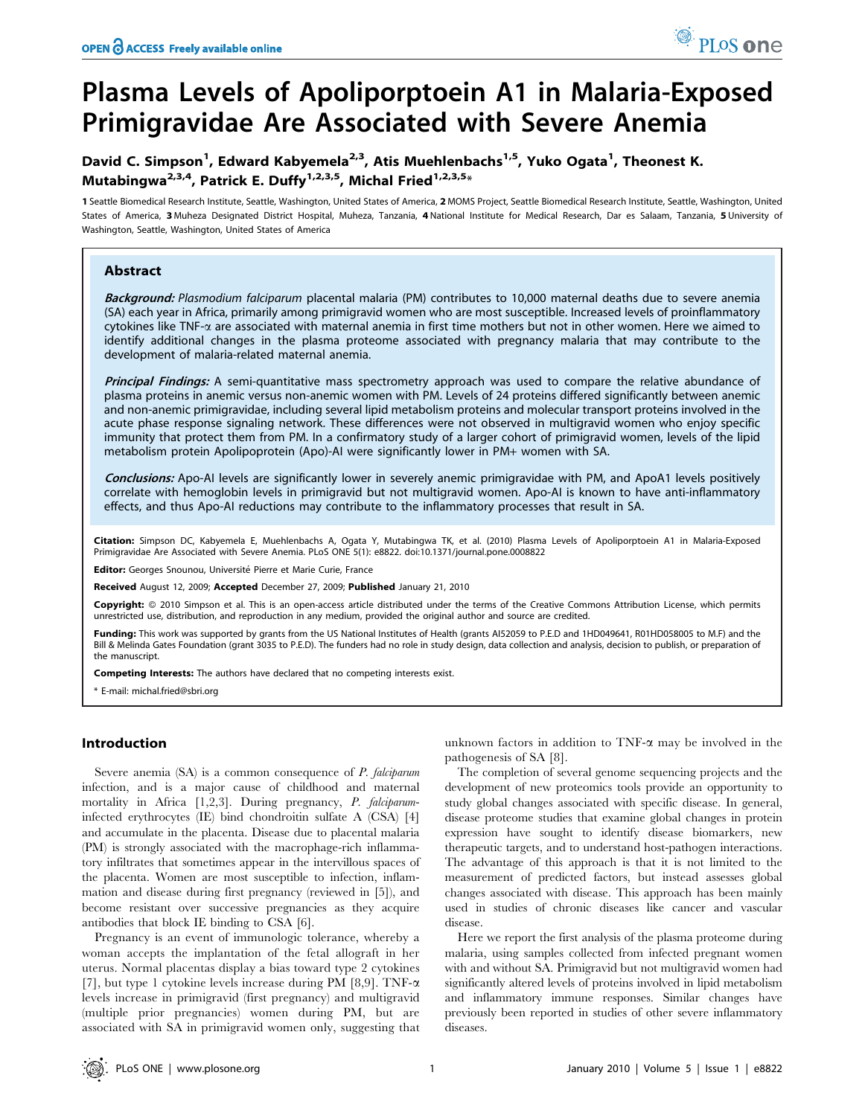# Plasma Levels of Apoliporptoein A1 in Malaria-Exposed Primigravidae Are Associated with Severe Anemia

# David C. Simpson<sup>1</sup>, Edward Kabyemela<sup>2,3</sup>, Atis Muehlenbachs<sup>1,5</sup>, Yuko Ogata<sup>1</sup>, Theonest K. Mutabingwa<sup>2,3,4</sup>, Patrick E. Duffy<sup>1,2,3,5</sup>, Michal Fried<sup>1,2,3,5</sup>\*

1 Seattle Biomedical Research Institute, Seattle, Washington, United States of America, 2 MOMS Project, Seattle Biomedical Research Institute, Seattle, Washington, United States of America, 3 Muheza Designated District Hospital, Muheza, Tanzania, 4 National Institute for Medical Research, Dar es Salaam, Tanzania, 5 University of Washington, Seattle, Washington, United States of America

# Abstract

Background: Plasmodium falciparum placental malaria (PM) contributes to 10,000 maternal deaths due to severe anemia (SA) each year in Africa, primarily among primigravid women who are most susceptible. Increased levels of proinflammatory  $cy$ tokines like TNF- $\alpha$  are associated with maternal anemia in first time mothers but not in other women. Here we aimed to identify additional changes in the plasma proteome associated with pregnancy malaria that may contribute to the development of malaria-related maternal anemia.

Principal Findings: A semi-quantitative mass spectrometry approach was used to compare the relative abundance of plasma proteins in anemic versus non-anemic women with PM. Levels of 24 proteins differed significantly between anemic and non-anemic primigravidae, including several lipid metabolism proteins and molecular transport proteins involved in the acute phase response signaling network. These differences were not observed in multigravid women who enjoy specific immunity that protect them from PM. In a confirmatory study of a larger cohort of primigravid women, levels of the lipid metabolism protein Apolipoprotein (Apo)-AI were significantly lower in PM+ women with SA.

Conclusions: Apo-AI levels are significantly lower in severely anemic primigravidae with PM, and ApoA1 levels positively correlate with hemoglobin levels in primigravid but not multigravid women. Apo-AI is known to have anti-inflammatory effects, and thus Apo-AI reductions may contribute to the inflammatory processes that result in SA.

Citation: Simpson DC, Kabyemela E, Muehlenbachs A, Ogata Y, Mutabingwa TK, et al. (2010) Plasma Levels of Apoliporptoein A1 in Malaria-Exposed Primigravidae Are Associated with Severe Anemia. PLoS ONE 5(1): e8822. doi:10.1371/journal.pone.0008822

Editor: Georges Snounou, Université Pierre et Marie Curie, France

Received August 12, 2009; Accepted December 27, 2009; Published January 21, 2010

Copyright: @ 2010 Simpson et al. This is an open-access article distributed under the terms of the Creative Commons Attribution License, which permits unrestricted use, distribution, and reproduction in any medium, provided the original author and source are credited.

Funding: This work was supported by grants from the US National Institutes of Health (grants AI52059 to P.E.D and 1HD049641, R01HD058005 to M.F) and the Bill & Melinda Gates Foundation (grant 3035 to P.E.D). The funders had no role in study design, data collection and analysis, decision to publish, or preparation of the manuscript.

Competing Interests: The authors have declared that no competing interests exist.

\* E-mail: michal.fried@sbri.org

# Introduction

Severe anemia (SA) is a common consequence of P. falciparum infection, and is a major cause of childhood and maternal mortality in Africa [1,2,3]. During pregnancy, P. falciparuminfected erythrocytes (IE) bind chondroitin sulfate A (CSA) [4] and accumulate in the placenta. Disease due to placental malaria (PM) is strongly associated with the macrophage-rich inflammatory infiltrates that sometimes appear in the intervillous spaces of the placenta. Women are most susceptible to infection, inflammation and disease during first pregnancy (reviewed in [5]), and become resistant over successive pregnancies as they acquire antibodies that block IE binding to CSA [6].

Pregnancy is an event of immunologic tolerance, whereby a woman accepts the implantation of the fetal allograft in her uterus. Normal placentas display a bias toward type 2 cytokines [7], but type 1 cytokine levels increase during PM [8,9]. TNF- $\alpha$ levels increase in primigravid (first pregnancy) and multigravid (multiple prior pregnancies) women during PM, but are associated with SA in primigravid women only, suggesting that unknown factors in addition to  $TNF-\alpha$  may be involved in the pathogenesis of SA [8].

The completion of several genome sequencing projects and the development of new proteomics tools provide an opportunity to study global changes associated with specific disease. In general, disease proteome studies that examine global changes in protein expression have sought to identify disease biomarkers, new therapeutic targets, and to understand host-pathogen interactions. The advantage of this approach is that it is not limited to the measurement of predicted factors, but instead assesses global changes associated with disease. This approach has been mainly used in studies of chronic diseases like cancer and vascular disease.

Here we report the first analysis of the plasma proteome during malaria, using samples collected from infected pregnant women with and without SA. Primigravid but not multigravid women had significantly altered levels of proteins involved in lipid metabolism and inflammatory immune responses. Similar changes have previously been reported in studies of other severe inflammatory diseases.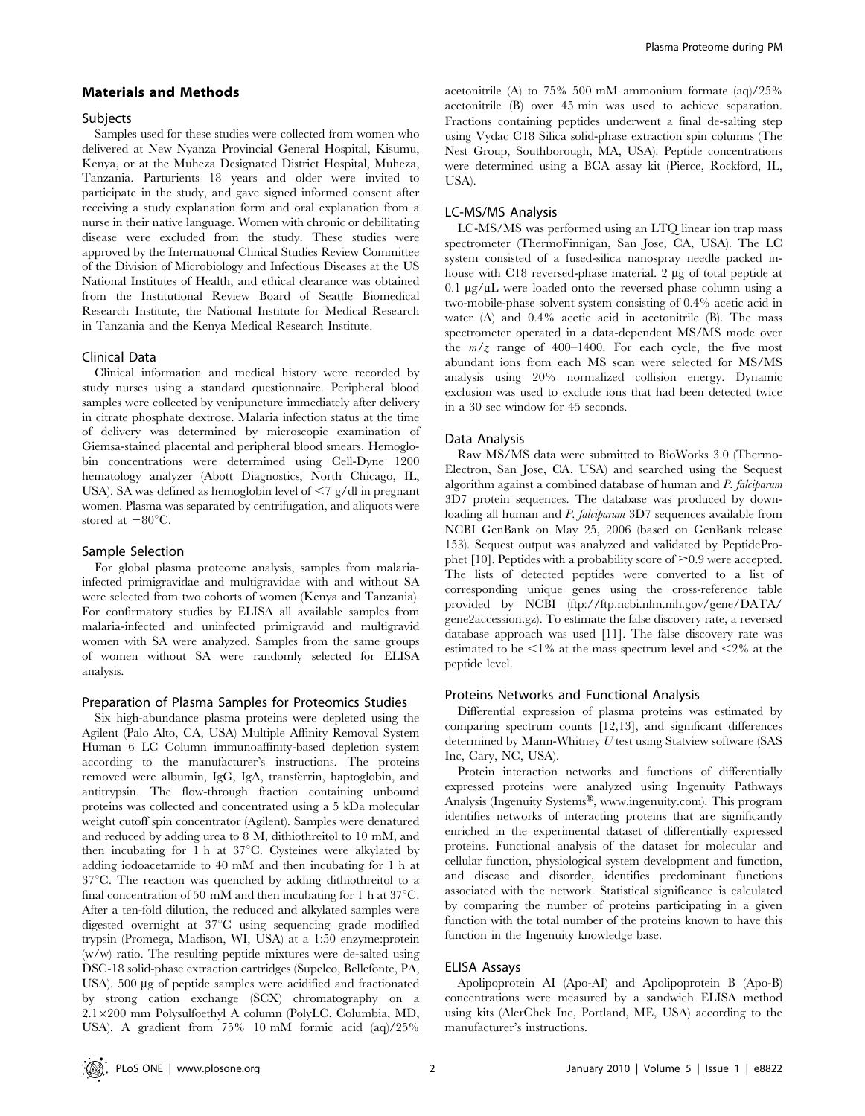#### Materials and Methods

#### **Subjects**

Samples used for these studies were collected from women who delivered at New Nyanza Provincial General Hospital, Kisumu, Kenya, or at the Muheza Designated District Hospital, Muheza, Tanzania. Parturients 18 years and older were invited to participate in the study, and gave signed informed consent after receiving a study explanation form and oral explanation from a nurse in their native language. Women with chronic or debilitating disease were excluded from the study. These studies were approved by the International Clinical Studies Review Committee of the Division of Microbiology and Infectious Diseases at the US National Institutes of Health, and ethical clearance was obtained from the Institutional Review Board of Seattle Biomedical Research Institute, the National Institute for Medical Research in Tanzania and the Kenya Medical Research Institute.

#### Clinical Data

Clinical information and medical history were recorded by study nurses using a standard questionnaire. Peripheral blood samples were collected by venipuncture immediately after delivery in citrate phosphate dextrose. Malaria infection status at the time of delivery was determined by microscopic examination of Giemsa-stained placental and peripheral blood smears. Hemoglobin concentrations were determined using Cell-Dyne 1200 hematology analyzer (Abott Diagnostics, North Chicago, IL, USA). SA was defined as hemoglobin level of  $\leq$ 7 g/dl in pregnant women. Plasma was separated by centrifugation, and aliquots were stored at  $-80^{\circ}$ C.

# Sample Selection

For global plasma proteome analysis, samples from malariainfected primigravidae and multigravidae with and without SA were selected from two cohorts of women (Kenya and Tanzania). For confirmatory studies by ELISA all available samples from malaria-infected and uninfected primigravid and multigravid women with SA were analyzed. Samples from the same groups of women without SA were randomly selected for ELISA analysis.

#### Preparation of Plasma Samples for Proteomics Studies

Six high-abundance plasma proteins were depleted using the Agilent (Palo Alto, CA, USA) Multiple Affinity Removal System Human 6 LC Column immunoaffinity-based depletion system according to the manufacturer's instructions. The proteins removed were albumin, IgG, IgA, transferrin, haptoglobin, and antitrypsin. The flow-through fraction containing unbound proteins was collected and concentrated using a 5 kDa molecular weight cutoff spin concentrator (Agilent). Samples were denatured and reduced by adding urea to 8 M, dithiothreitol to 10 mM, and then incubating for 1 h at  $37^{\circ}$ C. Cysteines were alkylated by adding iodoacetamide to 40 mM and then incubating for 1 h at  $37^{\circ}$ C. The reaction was quenched by adding dithiothreitol to a final concentration of 50 mM and then incubating for 1 h at  $37^{\circ}$ C. After a ten-fold dilution, the reduced and alkylated samples were digested overnight at  $37^{\circ}$ C using sequencing grade modified trypsin (Promega, Madison, WI, USA) at a 1:50 enzyme:protein (w/w) ratio. The resulting peptide mixtures were de-salted using DSC-18 solid-phase extraction cartridges (Supelco, Bellefonte, PA, USA). 500 µg of peptide samples were acidified and fractionated by strong cation exchange (SCX) chromatography on a 2.16200 mm Polysulfoethyl A column (PolyLC, Columbia, MD, USA). A gradient from 75% 10 mM formic acid (aq)/25%

acetonitrile (A) to 75% 500 mM ammonium formate (aq)/25% acetonitrile (B) over 45 min was used to achieve separation. Fractions containing peptides underwent a final de-salting step using Vydac C18 Silica solid-phase extraction spin columns (The Nest Group, Southborough, MA, USA). Peptide concentrations were determined using a BCA assay kit (Pierce, Rockford, IL, USA).

#### LC-MS/MS Analysis

LC-MS/MS was performed using an LTQ linear ion trap mass spectrometer (ThermoFinnigan, San Jose, CA, USA). The LC system consisted of a fused-silica nanospray needle packed inhouse with  $C18$  reversed-phase material. 2  $\mu$ g of total peptide at 0.1  $\mu$ g/ $\mu$ L were loaded onto the reversed phase column using a two-mobile-phase solvent system consisting of 0.4% acetic acid in water  $(A)$  and  $0.4\%$  acetic acid in acetonitrile  $(B)$ . The mass spectrometer operated in a data-dependent MS/MS mode over the  $m/z$  range of 400–1400. For each cycle, the five most abundant ions from each MS scan were selected for MS/MS analysis using 20% normalized collision energy. Dynamic exclusion was used to exclude ions that had been detected twice in a 30 sec window for 45 seconds.

#### Data Analysis

Raw MS/MS data were submitted to BioWorks 3.0 (Thermo-Electron, San Jose, CA, USA) and searched using the Sequest algorithm against a combined database of human and P. falciparum 3D7 protein sequences. The database was produced by downloading all human and P. falciparum 3D7 sequences available from NCBI GenBank on May 25, 2006 (based on GenBank release 153). Sequest output was analyzed and validated by PeptideProphet [10]. Peptides with a probability score of  $\geq 0.9$  were accepted. The lists of detected peptides were converted to a list of corresponding unique genes using the cross-reference table provided by NCBI (ftp://ftp.ncbi.nlm.nih.gov/gene/DATA/ gene2accession.gz). To estimate the false discovery rate, a reversed database approach was used [11]. The false discovery rate was estimated to be  $\leq$ 1% at the mass spectrum level and  $\leq$ 2% at the peptide level.

#### Proteins Networks and Functional Analysis

Differential expression of plasma proteins was estimated by comparing spectrum counts [12,13], and significant differences determined by Mann-Whitney U test using Statview software (SAS Inc, Cary, NC, USA).

Protein interaction networks and functions of differentially expressed proteins were analyzed using Ingenuity Pathways Analysis (Ingenuity Systems<sup>®</sup>, www.ingenuity.com). This program identifies networks of interacting proteins that are significantly enriched in the experimental dataset of differentially expressed proteins. Functional analysis of the dataset for molecular and cellular function, physiological system development and function, and disease and disorder, identifies predominant functions associated with the network. Statistical significance is calculated by comparing the number of proteins participating in a given function with the total number of the proteins known to have this function in the Ingenuity knowledge base.

#### ELISA Assays

Apolipoprotein AI (Apo-AI) and Apolipoprotein B (Apo-B) concentrations were measured by a sandwich ELISA method using kits (AlerChek Inc, Portland, ME, USA) according to the manufacturer's instructions.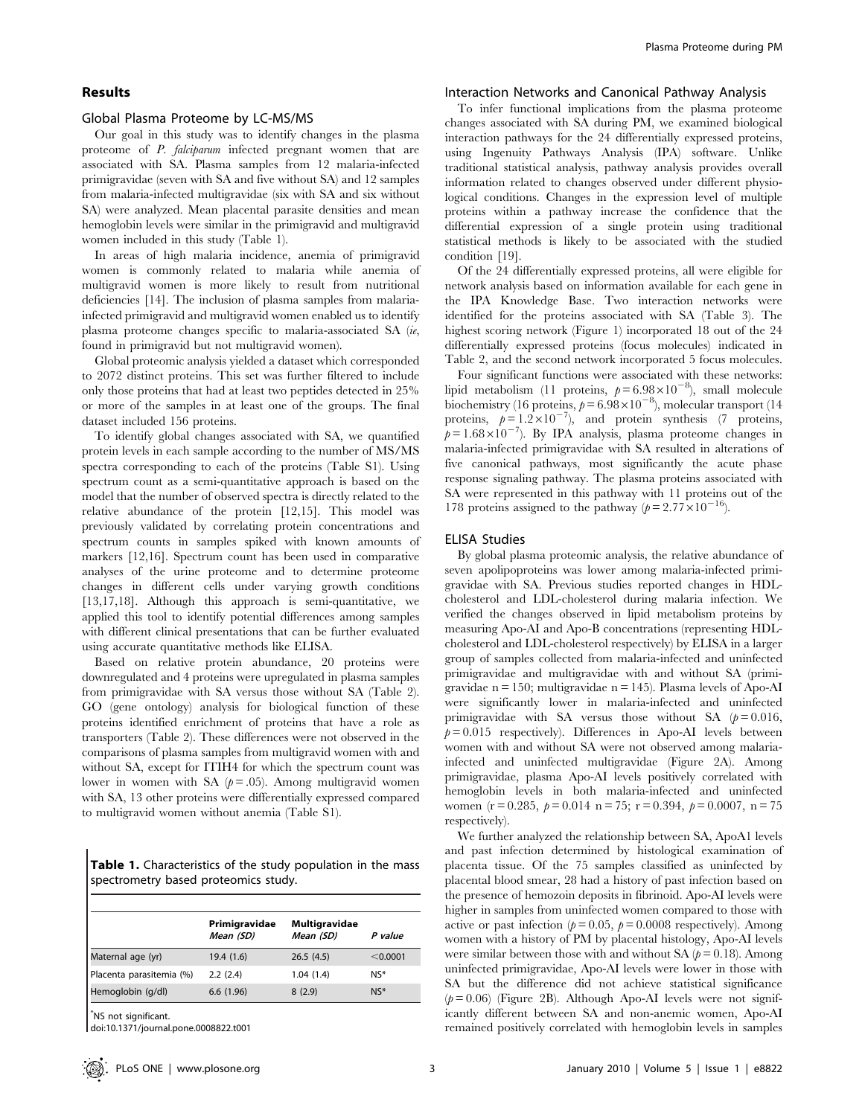# Results

#### Global Plasma Proteome by LC-MS/MS

Our goal in this study was to identify changes in the plasma proteome of P. falciparum infected pregnant women that are associated with SA. Plasma samples from 12 malaria-infected primigravidae (seven with SA and five without SA) and 12 samples from malaria-infected multigravidae (six with SA and six without SA) were analyzed. Mean placental parasite densities and mean hemoglobin levels were similar in the primigravid and multigravid women included in this study (Table 1).

In areas of high malaria incidence, anemia of primigravid women is commonly related to malaria while anemia of multigravid women is more likely to result from nutritional deficiencies [14]. The inclusion of plasma samples from malariainfected primigravid and multigravid women enabled us to identify plasma proteome changes specific to malaria-associated SA (ie, found in primigravid but not multigravid women).

Global proteomic analysis yielded a dataset which corresponded to 2072 distinct proteins. This set was further filtered to include only those proteins that had at least two peptides detected in 25% or more of the samples in at least one of the groups. The final dataset included 156 proteins.

To identify global changes associated with SA, we quantified protein levels in each sample according to the number of MS/MS spectra corresponding to each of the proteins (Table S1). Using spectrum count as a semi-quantitative approach is based on the model that the number of observed spectra is directly related to the relative abundance of the protein [12,15]. This model was previously validated by correlating protein concentrations and spectrum counts in samples spiked with known amounts of markers [12,16]. Spectrum count has been used in comparative analyses of the urine proteome and to determine proteome changes in different cells under varying growth conditions [13,17,18]. Although this approach is semi-quantitative, we applied this tool to identify potential differences among samples with different clinical presentations that can be further evaluated using accurate quantitative methods like ELISA.

Based on relative protein abundance, 20 proteins were downregulated and 4 proteins were upregulated in plasma samples from primigravidae with SA versus those without SA (Table 2). GO (gene ontology) analysis for biological function of these proteins identified enrichment of proteins that have a role as transporters (Table 2). These differences were not observed in the comparisons of plasma samples from multigravid women with and without SA, except for ITIH4 for which the spectrum count was lower in women with SA  $(p = .05)$ . Among multigravid women with SA, 13 other proteins were differentially expressed compared to multigravid women without anemia (Table S1).

Table 1. Characteristics of the study population in the mass spectrometry based proteomics study.

|                          | Primigravidae<br>Mean (SD) | Multigravidae<br>Mean (SD) | P value  |
|--------------------------|----------------------------|----------------------------|----------|
| Maternal age (yr)        | 19.4(1.6)                  | 26.5(4.5)                  | < 0.0001 |
| Placenta parasitemia (%) | 2.2(2.4)                   | 1.04(1.4)                  | $NS*$    |
| Hemoglobin (g/dl)        | 6.6(1.96)                  | 8(2.9)                     | $N*$     |

\* NS not significant.

doi:10.1371/journal.pone.0008822.t001

#### Interaction Networks and Canonical Pathway Analysis

To infer functional implications from the plasma proteome changes associated with SA during PM, we examined biological interaction pathways for the 24 differentially expressed proteins, using Ingenuity Pathways Analysis (IPA) software. Unlike traditional statistical analysis, pathway analysis provides overall information related to changes observed under different physiological conditions. Changes in the expression level of multiple proteins within a pathway increase the confidence that the differential expression of a single protein using traditional statistical methods is likely to be associated with the studied condition [19].

Of the 24 differentially expressed proteins, all were eligible for network analysis based on information available for each gene in the IPA Knowledge Base. Two interaction networks were identified for the proteins associated with SA (Table 3). The highest scoring network (Figure 1) incorporated 18 out of the 24 differentially expressed proteins (focus molecules) indicated in Table 2, and the second network incorporated 5 focus molecules.

Four significant functions were associated with these networks: lipid metabolism (11 proteins,  $p = 6.98 \times 10^{-8}$ ), small molecule biochemistry (16 proteins,  $p = 6.98 \times 10^{-8}$ ), molecular transport (14 proteins,  $p=1.2\times10^{-7}$ ), and protein synthesis (7 proteins,  $p=1.68\times10^{-7}$ ). By IPA analysis, plasma proteome changes in malaria-infected primigravidae with SA resulted in alterations of five canonical pathways, most significantly the acute phase response signaling pathway. The plasma proteins associated with SA were represented in this pathway with 11 proteins out of the 178 proteins assigned to the pathway ( $p = 2.77 \times 10^{-16}$ ).

#### ELISA Studies

By global plasma proteomic analysis, the relative abundance of seven apolipoproteins was lower among malaria-infected primigravidae with SA. Previous studies reported changes in HDLcholesterol and LDL-cholesterol during malaria infection. We verified the changes observed in lipid metabolism proteins by measuring Apo-AI and Apo-B concentrations (representing HDLcholesterol and LDL-cholesterol respectively) by ELISA in a larger group of samples collected from malaria-infected and uninfected primigravidae and multigravidae with and without SA (primigravidae n = 150; multigravidae n = 145). Plasma levels of Apo-AI were significantly lower in malaria-infected and uninfected primigravidae with SA versus those without SA  $(p=0.016,$  $p= 0.015$  respectively). Differences in Apo-AI levels between women with and without SA were not observed among malariainfected and uninfected multigravidae (Figure 2A). Among primigravidae, plasma Apo-AI levels positively correlated with hemoglobin levels in both malaria-infected and uninfected women (r = 0.285,  $p = 0.014$  n = 75; r = 0.394,  $p = 0.0007$ , n = 75 respectively).

We further analyzed the relationship between SA, ApoA1 levels and past infection determined by histological examination of placenta tissue. Of the 75 samples classified as uninfected by placental blood smear, 28 had a history of past infection based on the presence of hemozoin deposits in fibrinoid. Apo-AI levels were higher in samples from uninfected women compared to those with active or past infection ( $p = 0.05$ ,  $p = 0.0008$  respectively). Among women with a history of PM by placental histology, Apo-AI levels were similar between those with and without SA  $(p= 0.18)$ . Among uninfected primigravidae, Apo-AI levels were lower in those with SA but the difference did not achieve statistical significance  $(p= 0.06)$  (Figure 2B). Although Apo-AI levels were not significantly different between SA and non-anemic women, Apo-AI remained positively correlated with hemoglobin levels in samples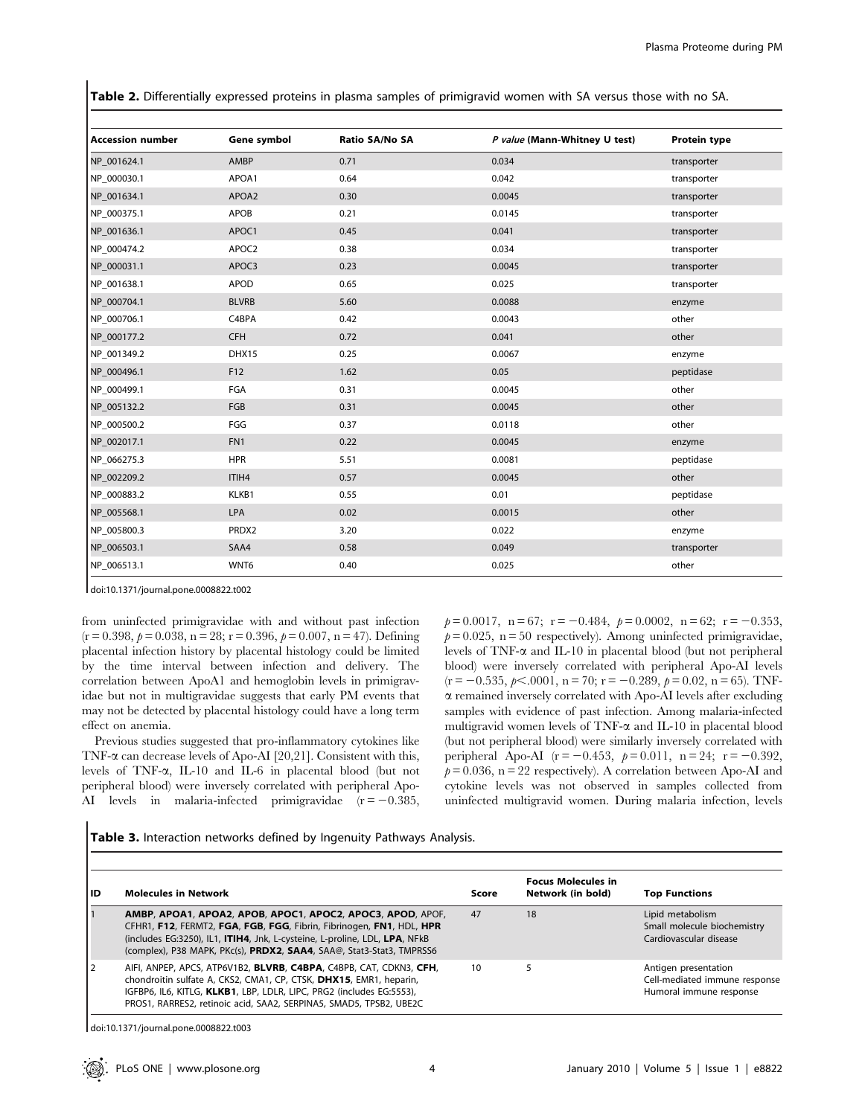Table 2. Differentially expressed proteins in plasma samples of primigravid women with SA versus those with no SA.

| <b>Accession number</b> | Gene symbol  | Ratio SA/No SA | P value (Mann-Whitney U test) | <b>Protein type</b> |
|-------------------------|--------------|----------------|-------------------------------|---------------------|
| NP 001624.1             | AMBP         | 0.71           | 0.034                         | transporter         |
| NP_000030.1             | APOA1        | 0.64           | 0.042                         | transporter         |
| NP 001634.1             | APOA2        | 0.30           | 0.0045                        | transporter         |
| NP_000375.1             | APOB         | 0.21           | 0.0145                        | transporter         |
| NP 001636.1             | APOC1        | 0.45           | 0.041                         | transporter         |
| NP 000474.2             | APOC2        | 0.38           | 0.034                         | transporter         |
| NP 000031.1             | APOC3        | 0.23           | 0.0045                        | transporter         |
| NP 001638.1             | APOD         | 0.65           | 0.025                         | transporter         |
| NP_000704.1             | <b>BLVRB</b> | 5.60           | 0.0088                        | enzyme              |
| NP 000706.1             | C4BPA        | 0.42           | 0.0043                        | other               |
| NP 000177.2             | <b>CFH</b>   | 0.72           | 0.041                         | other               |
| NP_001349.2             | DHX15        | 0.25           | 0.0067                        | enzyme              |
| NP 000496.1             | F12          | 1.62           | 0.05                          | peptidase           |
| NP_000499.1             | FGA          | 0.31           | 0.0045                        | other               |
| NP 005132.2             | FGB          | 0.31           | 0.0045                        | other               |
| NP_000500.2             | FGG          | 0.37           | 0.0118                        | other               |
| NP_002017.1             | FN1          | 0.22           | 0.0045                        | enzyme              |
| NP_066275.3             | <b>HPR</b>   | 5.51           | 0.0081                        | peptidase           |
| NP_002209.2             | ITIH4        | 0.57           | 0.0045                        | other               |
| NP 000883.2             | KLKB1        | 0.55           | 0.01                          | peptidase           |
| NP_005568.1             | LPA          | 0.02           | 0.0015                        | other               |
| NP 005800.3             | PRDX2        | 3.20           | 0.022                         | enzyme              |
| NP_006503.1             | SAA4         | 0.58           | 0.049                         | transporter         |
| NP 006513.1             | WNT6         | 0.40           | 0.025                         | other               |

doi:10.1371/journal.pone.0008822.t002

from uninfected primigravidae with and without past infection  $(r = 0.398, p = 0.038, n = 28; r = 0.396, p = 0.007, n = 47)$ . Defining placental infection history by placental histology could be limited by the time interval between infection and delivery. The correlation between ApoA1 and hemoglobin levels in primigravidae but not in multigravidae suggests that early PM events that may not be detected by placental histology could have a long term effect on anemia.

Previous studies suggested that pro-inflammatory cytokines like TNF- $\alpha$  can decrease levels of Apo-AI [20,21]. Consistent with this, levels of TNF-a, IL-10 and IL-6 in placental blood (but not peripheral blood) were inversely correlated with peripheral Apo-AI levels in malaria-infected primigravidae  $(r = -0.385,$ 

 $p= 0.0017$ ,  $n = 67$ ;  $r = -0.484$ ,  $p = 0.0002$ ,  $n = 62$ ;  $r = -0.353$ ,  $p= 0.025$ , n = 50 respectively). Among uninfected primigravidae, levels of  $TNF-\alpha$  and IL-10 in placental blood (but not peripheral blood) were inversely correlated with peripheral Apo-AI levels  $(r = -0.535, p<.0001, n = 70; r = -0.289, p = 0.02, n = 65)$ . TNFa remained inversely correlated with Apo-AI levels after excluding samples with evidence of past infection. Among malaria-infected multigravid women levels of TNF- $\alpha$  and IL-10 in placental blood (but not peripheral blood) were similarly inversely correlated with peripheral Apo-AI ( $r = -0.453$ ,  $p = 0.011$ ,  $n = 24$ ;  $r = -0.392$ ,  $p= 0.036$ , n = 22 respectively). A correlation between Apo-AI and cytokine levels was not observed in samples collected from uninfected multigravid women. During malaria infection, levels

Table 3. Interaction networks defined by Ingenuity Pathways Analysis.

| lıd | <b>Molecules in Network</b>                                                                                                                                                                                                                                                              | Score | <b>Focus Molecules in</b><br>Network (in bold) | <b>Top Functions</b>                                                             |
|-----|------------------------------------------------------------------------------------------------------------------------------------------------------------------------------------------------------------------------------------------------------------------------------------------|-------|------------------------------------------------|----------------------------------------------------------------------------------|
|     | AMBP, APOA1, APOA2, APOB, APOC1, APOC2, APOC3, APOD, APOF,<br>CFHR1, F12, FERMT2, FGA, FGB, FGG, Fibrin, Fibrinogen, FN1, HDL, HPR<br>(includes EG:3250), IL1, ITIH4, Jnk, L-cysteine, L-proline, LDL, LPA, NFkB<br>(complex), P38 MAPK, PKc(s), PRDX2, SAA4, SAA@, Stat3-Stat3, TMPRSS6 | 47    | 18                                             | Lipid metabolism<br>Small molecule biochemistry<br>Cardiovascular disease        |
| 12  | AIFI, ANPEP, APCS, ATP6V1B2, BLVRB, C4BPA, C4BPB, CAT, CDKN3, CFH,<br>chondroitin sulfate A, CKS2, CMA1, CP, CTSK, DHX15, EMR1, heparin,<br>IGFBP6, IL6, KITLG, KLKB1, LBP, LDLR, LIPC, PRG2 (includes EG:5553),<br>PROS1, RARRES2, retinoic acid, SAA2, SERPINA5, SMAD5, TPSB2, UBE2C   | 10    |                                                | Antigen presentation<br>Cell-mediated immune response<br>Humoral immune response |

doi:10.1371/journal.pone.0008822.t003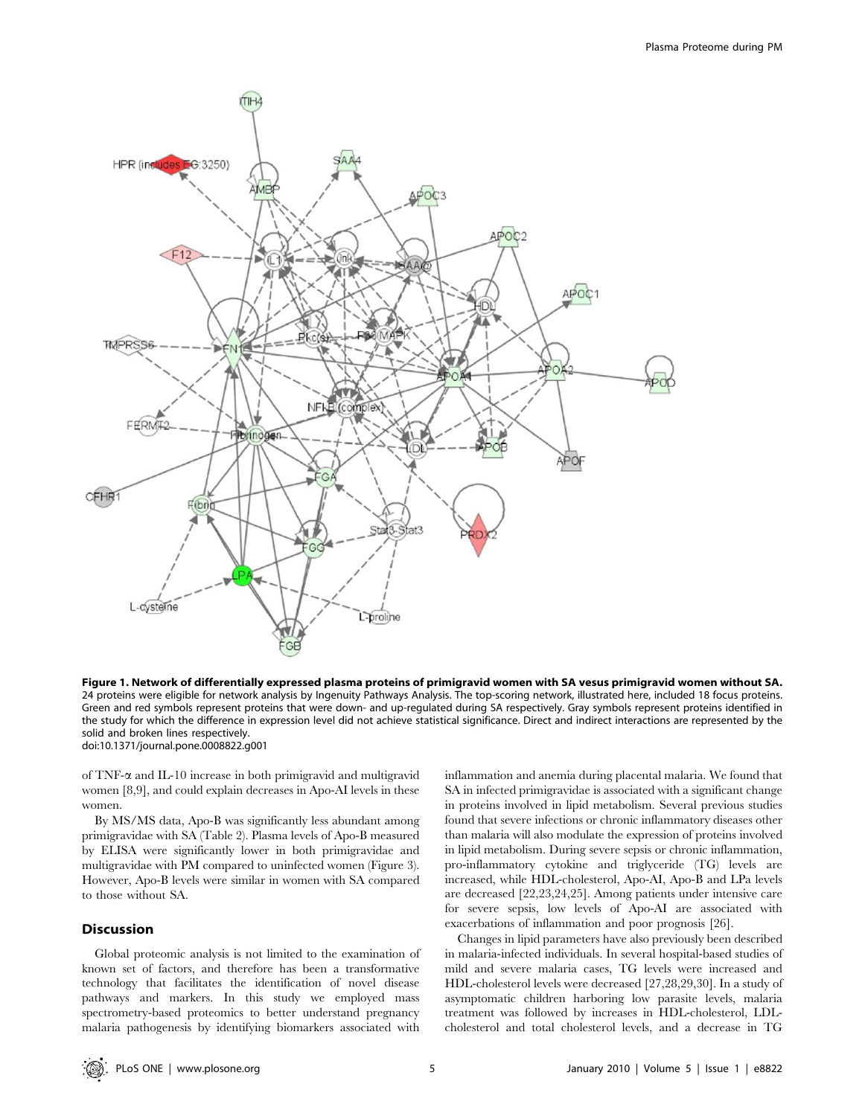

Figure 1. Network of differentially expressed plasma proteins of primigravid women with SA vesus primigravid women without SA. 24 proteins were eligible for network analysis by Ingenuity Pathways Analysis. The top-scoring network, illustrated here, included 18 focus proteins. Green and red symbols represent proteins that were down- and up-regulated during SA respectively. Gray symbols represent proteins identified in the study for which the difference in expression level did not achieve statistical significance. Direct and indirect interactions are represented by the solid and broken lines respectively. doi:10.1371/journal.pone.0008822.g001

of TNF-a and IL-10 increase in both primigravid and multigravid women [8,9], and could explain decreases in Apo-AI levels in these women.

By MS/MS data, Apo-B was significantly less abundant among primigravidae with SA (Table 2). Plasma levels of Apo-B measured by ELISA were significantly lower in both primigravidae and multigravidae with PM compared to uninfected women (Figure 3). However, Apo-B levels were similar in women with SA compared to those without SA.

# Discussion

Global proteomic analysis is not limited to the examination of known set of factors, and therefore has been a transformative technology that facilitates the identification of novel disease pathways and markers. In this study we employed mass spectrometry-based proteomics to better understand pregnancy malaria pathogenesis by identifying biomarkers associated with inflammation and anemia during placental malaria. We found that SA in infected primigravidae is associated with a significant change in proteins involved in lipid metabolism. Several previous studies found that severe infections or chronic inflammatory diseases other than malaria will also modulate the expression of proteins involved in lipid metabolism. During severe sepsis or chronic inflammation, pro-inflammatory cytokine and triglyceride (TG) levels are increased, while HDL-cholesterol, Apo-AI, Apo-B and LPa levels are decreased [22,23,24,25]. Among patients under intensive care for severe sepsis, low levels of Apo-AI are associated with exacerbations of inflammation and poor prognosis [26].

Changes in lipid parameters have also previously been described in malaria-infected individuals. In several hospital-based studies of mild and severe malaria cases, TG levels were increased and HDL-cholesterol levels were decreased [27,28,29,30]. In a study of asymptomatic children harboring low parasite levels, malaria treatment was followed by increases in HDL-cholesterol, LDLcholesterol and total cholesterol levels, and a decrease in TG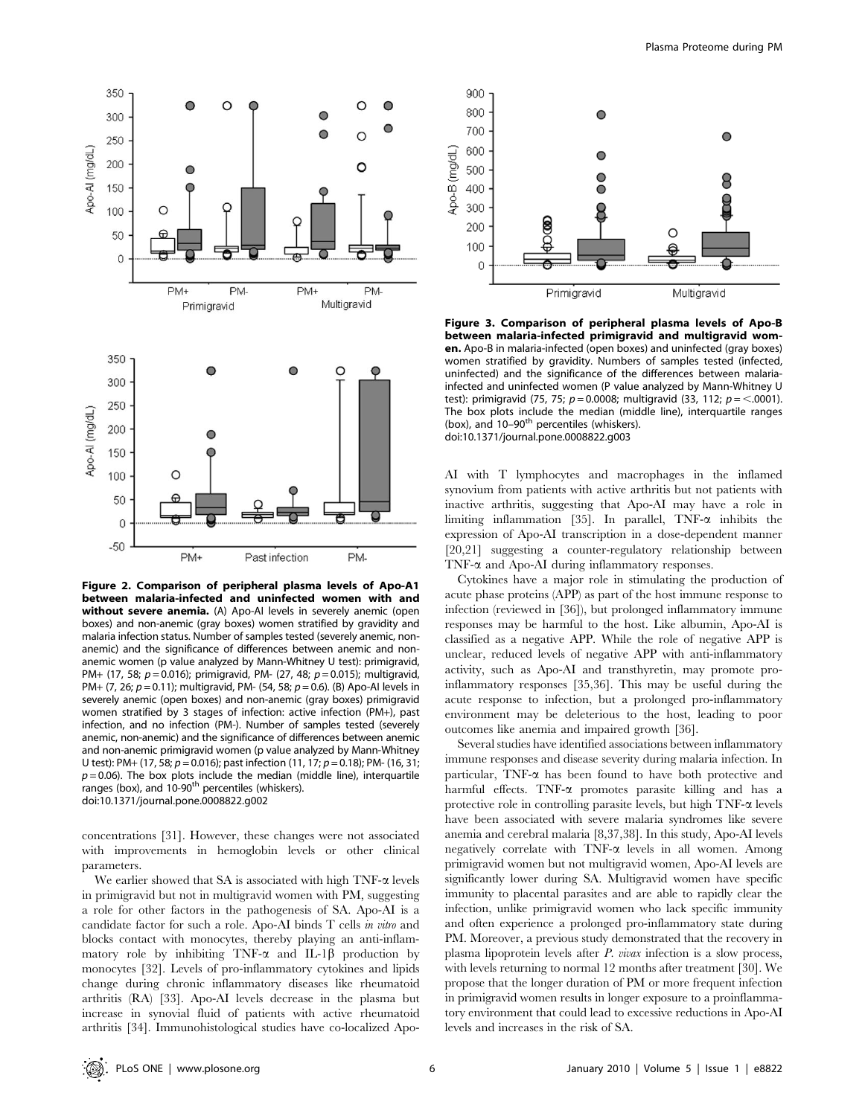

Figure 2. Comparison of peripheral plasma levels of Apo-A1 between malaria-infected and uninfected women with and without severe anemia. (A) Apo-AI levels in severely anemic (open boxes) and non-anemic (gray boxes) women stratified by gravidity and malaria infection status. Number of samples tested (severely anemic, nonanemic) and the significance of differences between anemic and nonanemic women (p value analyzed by Mann-Whitney U test): primigravid, PM+ (17, 58;  $p = 0.016$ ); primigravid, PM- (27, 48;  $p = 0.015$ ); multigravid, PM+ (7, 26;  $p = 0.11$ ); multigravid, PM- (54, 58;  $p = 0.6$ ). (B) Apo-AI levels in severely anemic (open boxes) and non-anemic (gray boxes) primigravid women stratified by 3 stages of infection: active infection (PM+), past infection, and no infection (PM-). Number of samples tested (severely anemic, non-anemic) and the significance of differences between anemic and non-anemic primigravid women (p value analyzed by Mann-Whitney U test): PM+ (17, 58;  $p = 0.016$ ); past infection (11, 17;  $p = 0.18$ ); PM- (16, 31;  $p = 0.06$ ). The box plots include the median (middle line), interquartile ranges (box), and  $10-90<sup>th</sup>$  percentiles (whiskers). doi:10.1371/journal.pone.0008822.g002

concentrations [31]. However, these changes were not associated with improvements in hemoglobin levels or other clinical parameters.

We earlier showed that SA is associated with high  $TNF-\alpha$  levels in primigravid but not in multigravid women with PM, suggesting a role for other factors in the pathogenesis of SA. Apo-AI is a candidate factor for such a role. Apo-AI binds T cells in vitro and blocks contact with monocytes, thereby playing an anti-inflammatory role by inhibiting TNF- $\alpha$  and IL-1 $\beta$  production by monocytes [32]. Levels of pro-inflammatory cytokines and lipids change during chronic inflammatory diseases like rheumatoid arthritis (RA) [33]. Apo-AI levels decrease in the plasma but increase in synovial fluid of patients with active rheumatoid arthritis [34]. Immunohistological studies have co-localized Apo-



Figure 3. Comparison of peripheral plasma levels of Apo-B between malaria-infected primigravid and multigravid women. Apo-B in malaria-infected (open boxes) and uninfected (gray boxes) women stratified by gravidity. Numbers of samples tested (infected, uninfected) and the significance of the differences between malariainfected and uninfected women (P value analyzed by Mann-Whitney U test): primigravid (75, 75;  $p = 0.0008$ ; multigravid (33, 112;  $p = <.0001$ ). The box plots include the median (middle line), interquartile ranges (box), and 10-90<sup>th</sup> percentiles (whiskers). doi:10.1371/journal.pone.0008822.g003

AI with T lymphocytes and macrophages in the inflamed synovium from patients with active arthritis but not patients with inactive arthritis, suggesting that Apo-AI may have a role in limiting inflammation [35]. In parallel,  $TNF-\alpha$  inhibits the expression of Apo-AI transcription in a dose-dependent manner [20,21] suggesting a counter-regulatory relationship between TNF- $\alpha$  and Apo-AI during inflammatory responses.

Cytokines have a major role in stimulating the production of acute phase proteins (APP) as part of the host immune response to infection (reviewed in [36]), but prolonged inflammatory immune responses may be harmful to the host. Like albumin, Apo-AI is classified as a negative APP. While the role of negative APP is unclear, reduced levels of negative APP with anti-inflammatory activity, such as Apo-AI and transthyretin, may promote proinflammatory responses [35,36]. This may be useful during the acute response to infection, but a prolonged pro-inflammatory environment may be deleterious to the host, leading to poor outcomes like anemia and impaired growth [36].

Several studies have identified associations between inflammatory immune responses and disease severity during malaria infection. In particular, TNF-a has been found to have both protective and harmful effects. TNF- $\alpha$  promotes parasite killing and has a protective role in controlling parasite levels, but high  $TNF-\alpha$  levels have been associated with severe malaria syndromes like severe anemia and cerebral malaria [8,37,38]. In this study, Apo-AI levels negatively correlate with  $TNF-\alpha$  levels in all women. Among primigravid women but not multigravid women, Apo-AI levels are significantly lower during SA. Multigravid women have specific immunity to placental parasites and are able to rapidly clear the infection, unlike primigravid women who lack specific immunity and often experience a prolonged pro-inflammatory state during PM. Moreover, a previous study demonstrated that the recovery in plasma lipoprotein levels after P. vivax infection is a slow process, with levels returning to normal 12 months after treatment [30]. We propose that the longer duration of PM or more frequent infection in primigravid women results in longer exposure to a proinflammatory environment that could lead to excessive reductions in Apo-AI levels and increases in the risk of SA.